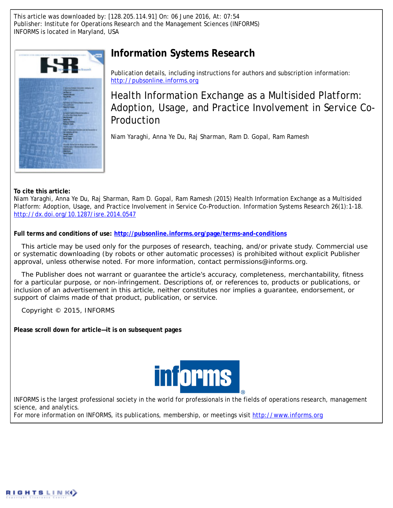This article was downloaded by: [128.205.114.91] On: 06 June 2016, At: 07:54 Publisher: Institute for Operations Research and the Management Sciences (INFORMS) INFORMS is located in Maryland, USA



## **Information Systems Research**

Publication details, including instructions for authors and subscription information: <http://pubsonline.informs.org>

Health Information Exchange as a Multisided Platform: Adoption, Usage, and Practice Involvement in Service Co-Production

Niam Yaraghi, Anna Ye Du, Raj Sharman, Ram D. Gopal, Ram Ramesh

**To cite this article:**

Niam Yaraghi, Anna Ye Du, Raj Sharman, Ram D. Gopal, Ram Ramesh (2015) Health Information Exchange as a Multisided Platform: Adoption, Usage, and Practice Involvement in Service Co-Production. Information Systems Research 26(1):1-18. <http://dx.doi.org/10.1287/isre.2014.0547>

**Full terms and conditions of use: <http://pubsonline.informs.org/page/terms-and-conditions>**

This article may be used only for the purposes of research, teaching, and/or private study. Commercial use or systematic downloading (by robots or other automatic processes) is prohibited without explicit Publisher approval, unless otherwise noted. For more information, contact permissions@informs.org.

The Publisher does not warrant or guarantee the article's accuracy, completeness, merchantability, fitness for a particular purpose, or non-infringement. Descriptions of, or references to, products or publications, or inclusion of an advertisement in this article, neither constitutes nor implies a guarantee, endorsement, or support of claims made of that product, publication, or service.

Copyright © 2015, INFORMS

**Please scroll down for article—it is on subsequent pages**



INFORMS is the largest professional society in the world for professionals in the fields of operations research, management science, and analytics.

For more information on INFORMS, its publications, membership, or meetings visit <http://www.informs.org>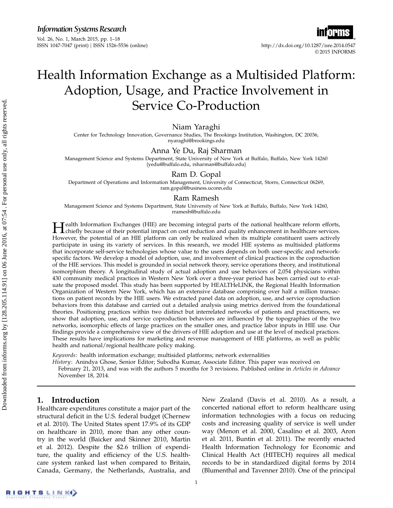*Information Systems Research*

Vol. 26, No. 1, March 2015, pp. 1–18 ISSN 1047-7047 (print) ISSN 1526-5536 (online) http://dx.doi.org/10.1287/isre.2014.0547

# © 2015 INFORMS

## Health Information Exchange as a Multisided Platform: Adoption, Usage, and Practice Involvement in Service Co-Production

## Niam Yaraghi

Center for Technology Innovation, Governance Studies, The Brookings Institution, Washington, DC 20036, nyaraghi@brookings.edu

### Anna Ye Du, Raj Sharman

Management Science and Systems Department, State University of New York at Buffalo, Buffalo, New York 14260 {yedu@buffalo.edu, rsharman@buffalo.edu}

## Ram D. Gopal

Department of Operations and Information Management, University of Connecticut, Storrs, Connecticut 06269, ram.gopal@business.uconn.edu

### Ram Ramesh

Management Science and Systems Department, State University of New York at Buffalo, Buffalo, New York 14260, rramesh@buffalo.edu

**H** ealth Information Exchanges (HIE) are becoming integral parts of the national healthcare reform efforts,<br>chiefly because of their potential impact on cost reduction and quality enhancement in healthcare services. chiefly because of their potential impact on cost reduction and quality enhancement in healthcare services. However, the potential of an HIE platform can only be realized when its multiple constituent users actively participate in using its variety of services. In this research, we model HIE systems as multisided platforms that incorporate self-service technologies whose value to the users depends on both user-specific and networkspecific factors. We develop a model of adoption, use, and involvement of clinical practices in the coproduction of the HIE services. This model is grounded in social network theory, service operations theory, and institutional isomorphism theory. A longitudinal study of actual adoption and use behaviors of 2,054 physicians within 430 community medical practices in Western New York over a three-year period has been carried out to evaluate the proposed model. This study has been supported by HEALTHeLINK, the Regional Health Information Organization of Western New York, which has an extensive database comprising over half a million transactions on patient records by the HIE users. We extracted panel data on adoption, use, and service coproduction behaviors from this database and carried out a detailed analysis using metrics derived from the foundational theories. Positioning practices within two distinct but interrelated networks of patients and practitioners, we show that adoption, use, and service coproduction behaviors are influenced by the topographies of the two networks, isomorphic effects of large practices on the smaller ones, and practice labor inputs in HIE use. Our findings provide a comprehensive view of the drivers of HIE adoption and use at the level of medical practices. These results have implications for marketing and revenue management of HIE platforms, as well as public health and national/regional healthcare policy making.

Keywords: health information exchange; multisided platforms; network externalities History: Anindya Ghose, Senior Editor; Subodha Kumar, Associate Editor. This paper was received on February 21, 2013, and was with the authors 5 months for 3 revisions. Published online in Articles in Advance November 18, 2014.

## 1. Introduction

Healthcare expenditures constitute a major part of the structural deficit in the U.S. federal budget (Chernew et al. 2010). The United States spent 17.9% of its GDP on healthcare in 2010, more than any other country in the world (Baicker and Skinner 2010, Martin et al. 2012). Despite the \$2.6 trillion of expenditure, the quality and efficiency of the U.S. healthcare system ranked last when compared to Britain, Canada, Germany, the Netherlands, Australia, and

New Zealand (Davis et al. 2010). As a result, a concerted national effort to reform healthcare using information technologies with a focus on reducing costs and increasing quality of service is well under way (Menon et al. 2000, Casalino et al. 2003, Aron et al. 2011, Buntin et al. 2011). The recently enacted Health Information Technology for Economic and Clinical Health Act (HITECH) requires all medical records to be in standardized digital forms by 2014 (Blumenthal and Tavenner 2010). One of the principal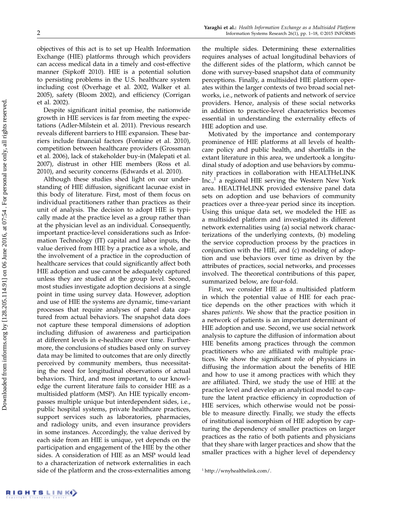objectives of this act is to set up Health Information Exchange (HIE) platforms through which providers can access medical data in a timely and cost-effective manner (Sipkoff 2010). HIE is a potential solution to persisting problems in the U.S. healthcare system including cost (Overhage et al. 2002, Walker et al. 2005), safety (Bloom 2002), and efficiency (Corrigan et al. 2002).

Despite significant initial promise, the nationwide growth in HIE services is far from meeting the expectations (Adler-Milstein et al. 2011). Previous research reveals different barriers to HIE expansion. These barriers include financial factors (Fontaine et al. 2010), competition between healthcare providers (Grossman et al. 2006), lack of stakeholder buy-in (Malepati et al. 2007), distrust in other HIE members (Ross et al. 2010), and security concerns (Edwards et al. 2010).

Although these studies shed light on our understanding of HIE diffusion, significant lacunae exist in this body of literature. First, most of them focus on individual practitioners rather than practices as their unit of analysis. The decision to adopt HIE is typically made at the practice level as a group rather than at the physician level as an individual. Consequently, important practice-level considerations such as Information Technology (IT) capital and labor inputs, the value derived from HIE by a practice as a whole, and the involvement of a practice in the coproduction of healthcare services that could significantly affect both HIE adoption and use cannot be adequately captured unless they are studied at the group level. Second, most studies investigate adoption decisions at a single point in time using survey data. However, adoption and use of HIE the systems are dynamic, time-variant processes that require analyses of panel data captured from actual behaviors. The snapshot data does not capture these temporal dimensions of adoption including diffusion of awareness and participation at different levels in e-healthcare over time. Furthermore, the conclusions of studies based only on survey data may be limited to outcomes that are only directly perceived by community members, thus necessitating the need for longitudinal observations of actual behaviors. Third, and most important, to our knowledge the current literature fails to consider HIE as a multisided platform (MSP). An HIE typically encompasses multiple unique but interdependent sides, i.e., public hospital systems, private healthcare practices, support services such as laboratories, pharmacies, and radiology units, and even insurance providers in some instances. Accordingly, the value derived by each side from an HIE is unique, yet depends on the participation and engagement of the HIE by the other sides. A consideration of HIE as an MSP would lead to a characterization of network externalities in each side of the platform and the cross-externalities among

the multiple sides. Determining these externalities requires analyses of actual longitudinal behaviors of the different sides of the platform, which cannot be done with survey-based snapshot data of community perceptions. Finally, a multisided HIE platform operates within the larger contexts of two broad social networks, i.e., network of patients and network of service providers. Hence, analysis of these social networks in addition to practice-level characteristics becomes essential in understanding the externality effects of HIE adoption and use.

Motivated by the importance and contemporary prominence of HIE platforms at all levels of healthcare policy and public health, and shortfalls in the extant literature in this area, we undertook a longitudinal study of adoption and use behaviors by community practices in collaboration with HEALTHeLINK  $Inc.^1$  a regional HIE serving the Western New York area. HEALTHeLINK provided extensive panel data sets on adoption and use behaviors of community practices over a three-year period since its inception. Using this unique data set, we modeled the HIE as a multisided platform and investigated its different network externalities using (a) social network characterizations of the underlying contexts, (b) modeling the service coproduction process by the practices in conjunction with the HIE, and (c) modeling of adoption and use behaviors over time as driven by the attributes of practices, social networks, and processes involved. The theoretical contributions of this paper, summarized below, are four-fold.

First, we consider HIE as a multisided platform in which the potential value of HIE for each practice depends on the other practices with which it shares patients. We show that the practice position in a network of patients is an important determinant of HIE adoption and use. Second, we use social network analysis to capture the diffusion of information about HIE benefits among practices through the common practitioners who are affiliated with multiple practices. We show the significant role of physicians in diffusing the information about the benefits of HIE and how to use it among practices with which they are affiliated. Third, we study the use of HIE at the practice level and develop an analytical model to capture the latent practice efficiency in coproduction of HIE services, which otherwise would not be possible to measure directly. Finally, we study the effects of institutional isomorphism of HIE adoption by capturing the dependency of smaller practices on larger practices as the ratio of both patients and physicians that they share with larger practices and show that the smaller practices with a higher level of dependency

<sup>1</sup> http://wnyhealthelink.com/.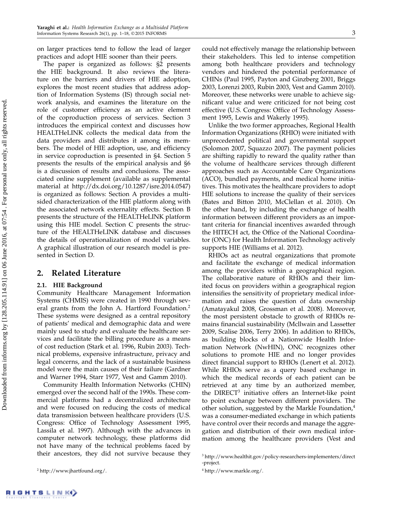on larger practices tend to follow the lead of larger practices and adopt HIE sooner than their peers.

The paper is organized as follows: §2 presents the HIE background. It also reviews the literature on the barriers and drivers of HIE adoption, explores the most recent studies that address adoption of Information Systems (IS) through social network analysis, and examines the literature on the role of customer efficiency as an active element of the coproduction process of services. Section 3 introduces the empirical context and discusses how HEALTHeLINK collects the medical data from the data providers and distributes it among its members. The model of HIE adoption, use, and efficiency in service coproduction is presented in §4. Section 5 presents the results of the empirical analysis and §6 is a discussion of results and conclusions. The associated online supplement (available as supplemental material at http://dx.doi.org/10.1287/isre.2014.0547) is organized as follows: Section A provides a multisided characterization of the HIE platform along with the associated network externality effects. Section B presents the structure of the HEALTHeLINK platform using this HIE model. Section C presents the structure of the HEALTHeLINK database and discusses the details of operationalization of model variables. A graphical illustration of our research model is presented in Section D.

## 2. Related Literature

#### 2.1. HIE Background

Community Healthcare Management Information Systems (CHMIS) were created in 1990 through several grants from the John A. Hartford Foundation.<sup>2</sup> These systems were designed as a central repository of patients' medical and demographic data and were mainly used to study and evaluate the healthcare services and facilitate the billing procedure as a means of cost reduction (Stark et al. 1996, Rubin 2003). Technical problems, expensive infrastructure, privacy and legal concerns, and the lack of a sustainable business model were the main causes of their failure (Gardner and Warner 1994, Starr 1977, Vest and Gamm 2010).

Community Health Information Networks (CHIN) emerged over the second half of the 1990s. These commercial platforms had a decentralized architecture and were focused on reducing the costs of medical data transmission between healthcare providers (U.S. Congress: Office of Technology Assessment 1995, Lassila et al. 1997). Although with the advances in computer network technology, these platforms did not have many of the technical problems faced by their ancestors, they did not survive because they

<sup>2</sup> http://www.jhartfound.org/.

could not effectively manage the relationship between their stakeholders. This led to intense competition among both healthcare providers and technology vendors and hindered the potential performance of CHINs (Paul 1995, Payton and Ginzberg 2001, Briggs 2003, Lorenzi 2003, Rubin 2003, Vest and Gamm 2010). Moreover, these networks were unable to achieve significant value and were criticized for not being cost effective (U.S. Congress: Office of Technology Assessment 1995, Lewis and Wakerly 1995).

Unlike the two former approaches, Regional Health Information Organizations (RHIO) were initiated with unprecedented political and governmental support (Solomon 2007, Squazzo 2007). The payment policies are shifting rapidly to reward the quality rather than the volume of healthcare services through different approaches such as Accountable Care Organizations (ACO), bundled payments, and medical home initiatives. This motivates the healthcare providers to adopt HIE solutions to increase the quality of their services (Bates and Bitton 2010, McClellan et al. 2010). On the other hand, by including the exchange of health information between different providers as an important criteria for financial incentives awarded through the HITECH act, the Office of the National Coordinator (ONC) for Health Information Technology actively supports HIE (Williams et al. 2012).

RHIOs act as neutral organizations that promote and facilitate the exchange of medical information among the providers within a geographical region. The collaborative nature of RHIOs and their limited focus on providers within a geographical region intensifies the sensitivity of proprietary medical information and raises the question of data ownership (Amatayakul 2008, Grossman et al. 2008). Moreover, the most persistent obstacle to growth of RHIOs remains financial sustainability (Mcllwain and Lassetter 2009, Scalise 2006, Terry 2006). In addition to RHIOs, as building blocks of a Nationwide Health Information Network (NwHIN), ONC recognizes other solutions to promote HIE and no longer provides direct financial support to RHIOs (Lenert et al. 2012). While RHIOs serve as a query based exchange in which the medical records of each patient can be retrieved at any time by an authorized member, the DIRECT<sup>3</sup> initiative offers an Internet-like point to point exchange between different providers. The other solution, suggested by the Markle Foundation,<sup>4</sup> was a consumer-mediated exchange in which patients have control over their records and manage the aggregation and distribution of their own medical information among the healthcare providers (Vest and

<sup>&</sup>lt;sup>3</sup> http://www.healthit.gov/policy-researchers-implementers/direct -project.

<sup>4</sup> http://www.markle.org/.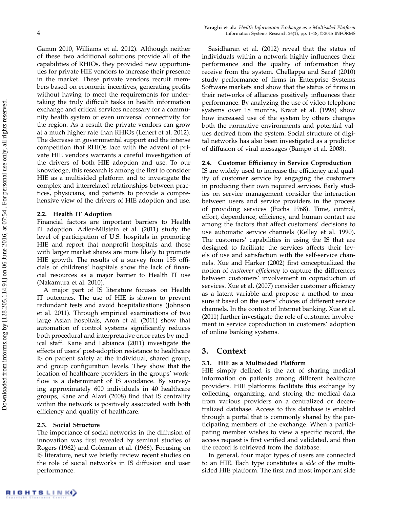Gamm 2010, Williams et al. 2012). Although neither of these two additional solutions provide all of the capabilities of RHIOs, they provided new opportunities for private HIE vendors to increase their presence in the market. These private vendors recruit members based on economic incentives, generating profits without having to meet the requirements for undertaking the truly difficult tasks in health information exchange and critical services necessary for a community health system or even universal connectivity for the region. As a result the private vendors can grow at a much higher rate than RHIOs (Lenert et al. 2012). The decrease in governmental support and the intense competition that RHIOs face with the advent of private HIE vendors warrants a careful investigation of the drivers of both HIE adoption and use. To our knowledge, this research is among the first to consider HIE as a multisided platform and to investigate the complex and interrelated relationships between practices, physicians, and patients to provide a comprehensive view of the drivers of HIE adoption and use.

#### 2.2. Health IT Adoption

Financial factors are important barriers to Health IT adoption. Adler-Milstein et al. (2011) study the level of participation of U.S. hospitals in promoting HIE and report that nonprofit hospitals and those with larger market shares are more likely to promote HIE growth. The results of a survey from 155 officials of childrens' hospitals show the lack of financial resources as a major barrier to Health IT use (Nakamura et al. 2010).

A major part of IS literature focuses on Health IT outcomes. The use of HIE is shown to prevent redundant tests and avoid hospitalizations (Johnson et al. 2011). Through empirical examinations of two large Asian hospitals, Aron et al. (2011) show that automation of control systems significantly reduces both procedural and interpretative error rates by medical staff. Kane and Labianca (2011) investigate the effects of users' post-adoption resistance to healthcare IS on patient safety at the individual, shared group, and group configuration levels. They show that the location of healthcare providers in the groups' workflow is a determinant of IS avoidance. By surveying approximately 600 individuals in 40 healthcare groups, Kane and Alavi (2008) find that IS centrality within the network is positively associated with both efficiency and quality of healthcare.

#### 2.3. Social Structure

The importance of social networks in the diffusion of innovation was first revealed by seminal studies of Rogers (1962) and Coleman et al. (1966). Focusing on IS literature, next we briefly review recent studies on the role of social networks in IS diffusion and user performance.

Sasidharan et al. (2012) reveal that the status of individuals within a network highly influences their performance and the quality of information they receive from the system. Chellappa and Saraf (2010) study performance of firms in Enterprise Systems Software markets and show that the status of firms in their networks of alliances positively influences their performance. By analyzing the use of video telephone systems over 18 months, Kraut et al. (1998) show how increased use of the system by others changes both the normative environments and potential values derived from the system. Social structure of digital networks has also been investigated as a predictor of diffusion of viral messages (Bampo et al. 2008).

#### 2.4. Customer Efficiency in Service Coproduction

IS are widely used to increase the efficiency and quality of customer service by engaging the customers in producing their own required services. Early studies on service management consider the interaction between users and service providers in the process of providing services (Fuchs 1968). Time, control, effort, dependence, efficiency, and human contact are among the factors that affect customers' decisions to use automatic service channels (Kelley et al. 1990). The customers' capabilities in using the IS that are designed to facilitate the services affects their levels of use and satisfaction with the self-service channels. Xue and Harker (2002) first conceptualized the notion of customer efficiency to capture the differences between customers' involvement in coproduction of services. Xue et al. (2007) consider customer efficiency as a latent variable and propose a method to measure it based on the users' choices of different service channels. In the context of Internet banking, Xue et al. (2011) further investigate the role of customer involvement in service coproduction in customers' adoption of online banking systems.

## 3. Context

#### 3.1. HIE as a Multisided Platform

HIE simply defined is the act of sharing medical information on patients among different healthcare providers. HIE platforms facilitate this exchange by collecting, organizing, and storing the medical data from various providers on a centralized or decentralized database. Access to this database is enabled through a portal that is commonly shared by the participating members of the exchange. When a participating member wishes to view a specific record, the access request is first verified and validated, and then the record is retrieved from the database.

In general, four major types of users are connected to an HIE. Each type constitutes a side of the multisided HIE platform. The first and most important side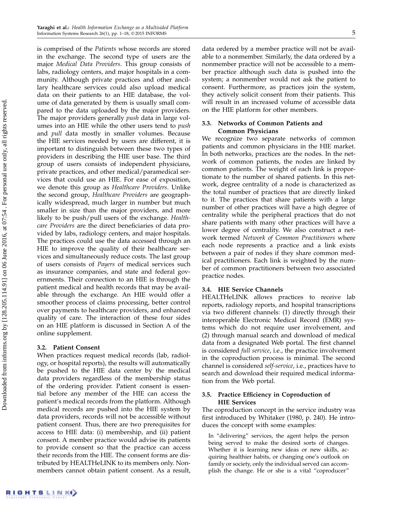is comprised of the Patients whose records are stored in the exchange. The second type of users are the major Medical Data Providers. This group consists of labs, radiology centers, and major hospitals in a community. Although private practices and other ancillary healthcare services could also upload medical data on their patients to an HIE database, the volume of data generated by them is usually small compared to the data uploaded by the major providers. The major providers generally push data in large volumes into an HIE while the other users tend to push and pull data mostly in smaller volumes. Because the HIE services needed by users are different, it is important to distinguish between these two types of providers in describing the HIE user base. The third group of users consists of independent physicians, private practices, and other medical/paramedical services that could use an HIE. For ease of exposition, we denote this group as Healthcare Providers. Unlike the second group, Healthcare Providers are geographically widespread, much larger in number but much smaller in size than the major providers, and more likely to be push/pull users of the exchange. Healthcare Providers are the direct beneficiaries of data provided by labs, radiology centers, and major hospitals. The practices could use the data accessed through an HIE to improve the quality of their healthcare services and simultaneously reduce costs. The last group of users consists of Payers of medical services such as insurance companies, and state and federal governments. Their connection to an HIE is through the patient medical and health records that may be available through the exchange. An HIE would offer a smoother process of claims processing, better control over payments to healthcare providers, and enhanced quality of care. The interaction of these four sides on an HIE platform is discussed in Section A of the online supplement.

## 3.2. Patient Consent

When practices request medical records (lab, radiology, or hospital reports), the results will automatically be pushed to the HIE data center by the medical data providers regardless of the membership status of the ordering provider. Patient consent is essential before any member of the HIE can access the patient's medical records from the platform. Although medical records are pushed into the HIE system by data providers, records will not be accessible without patient consent. Thus, there are two prerequisites for access to HIE data: (i) membership, and (ii) patient consent. A member practice would advise its patients to provide consent so that the practice can access their records from the HIE. The consent forms are distributed by HEALTHeLINK to its members only. Nonmembers cannot obtain patient consent. As a result,

data ordered by a member practice will not be available to a nonmember. Similarly, the data ordered by a nonmember practice will not be accessible to a member practice although such data is pushed into the system; a nonmember would not ask the patient to consent. Furthermore, as practices join the system, they actively solicit consent from their patients. This will result in an increased volume of accessible data on the HIE platform for other members.

## 3.3. Networks of Common Patients and Common Physicians

We recognize two separate networks of common patients and common physicians in the HIE market. In both networks, practices are the nodes. In the network of common patients, the nodes are linked by common patients. The weight of each link is proportionate to the number of shared patients. In this network, degree centrality of a node is characterized as the total number of practices that are directly linked to it. The practices that share patients with a large number of other practices will have a high degree of centrality while the peripheral practices that do not share patients with many other practices will have a lower degree of centrality. We also construct a network termed Network of Common Practitioners where each node represents a practice and a link exists between a pair of nodes if they share common medical practitioners. Each link is weighted by the number of common practitioners between two associated practice nodes.

## 3.4. HIE Service Channels

HEALTHeLINK allows practices to receive lab reports, radiology reports, and hospital transcriptions via two different channels: (1) directly through their interoperable Electronic Medical Record (EMR) systems which do not require user involvement, and (2) through manual search and download of medical data from a designated Web portal. The first channel is considered full service, i.e., the practice involvement in the coproduction process is minimal. The second channel is considered self-service, i.e., practices have to search and download their required medical information from the Web portal.

## 3.5. Practice Efficiency in Coproduction of HIE Services

The coproduction concept in the service industry was first introduced by Whitaker (1980, p. 240). He introduces the concept with some examples:

In "delivering" services, the agent helps the person being served to make the desired sorts of changes. Whether it is learning new ideas or new skills, acquiring healthier habits, or changing one's outlook on family or society, only the individual served can accomplish the change. He or she is a vital "coproducer"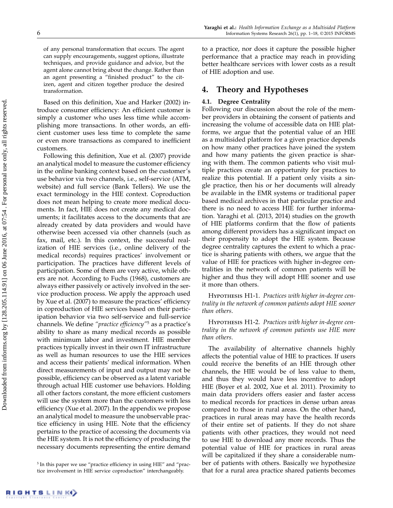of any personal transformation that occurs. The agent can supply encouragements, suggest options, illustrate techniques, and provide guidance and advice, but the agent alone cannot bring about the change. Rather than an agent presenting a "finished product" to the citizen, agent and citizen together produce the desired transformation.

Based on this definition, Xue and Harker (2002) introduce consumer efficiency: An efficient customer is simply a customer who uses less time while accomplishing more transactions. In other words, an efficient customer uses less time to complete the same or even more transactions as compared to inefficient customers.

Following this definition, Xue et al. (2007) provide an analytical model to measure the customer efficiency in the online banking context based on the customer's use behavior via two channels, i.e., self-service (ATM, website) and full service (Bank Tellers). We use the exact terminology in the HIE context. Coproduction does not mean helping to create more medical documents. In fact, HIE does not create any medical documents; it facilitates access to the documents that are already created by data providers and would have otherwise been accessed via other channels (such as fax, mail, etc.). In this context, the successful realization of HIE services (i.e., online delivery of the medical records) requires practices' involvement or participation. The practices have different levels of participation. Some of them are very active, while others are not. According to Fuchs (1968), customers are always either passively or actively involved in the service production process. We apply the approach used by Xue et al. (2007) to measure the practices' efficiency in coproduction of HIE services based on their participation behavior via two self-service and full-service channels. We define "practice efficiency"<sup>5</sup> as a practice's ability to share as many medical records as possible with minimum labor and investment. HIE member practices typically invest in their own IT infrastructure as well as human resources to use the HIE services and access their patients' medical information. When direct measurements of input and output may not be possible, efficiency can be observed as a latent variable through actual HIE customer use behaviors. Holding all other factors constant, the more efficient customers will use the system more than the customers with less efficiency (Xue et al. 2007). In the appendix we propose an analytical model to measure the unobservable practice efficiency in using HIE. Note that the efficiency pertains to the practice of accessing the documents via the HIE system. It is not the efficiency of producing the necessary documents representing the entire demand to a practice, nor does it capture the possible higher performance that a practice may reach in providing better healthcare services with lower costs as a result

## 4. Theory and Hypotheses

## 4.1. Degree Centrality

of HIE adoption and use.

Following our discussion about the role of the member providers in obtaining the consent of patients and increasing the volume of accessible data on HIE platforms, we argue that the potential value of an HIE as a multisided platform for a given practice depends on how many other practices have joined the system and how many patients the given practice is sharing with them. The common patients who visit multiple practices create an opportunity for practices to realize this potential. If a patient only visits a single practice, then his or her documents will already be available in the EMR systems or traditional paper based medical archives in that particular practice and there is no need to access HIE for further information. Yaraghi et al. (2013, 2014) studies on the growth of HIE platforms confirm that the flow of patients among different providers has a significant impact on their propensity to adopt the HIE system. Because degree centrality captures the extent to which a practice is sharing patients with others, we argue that the value of HIE for practices with higher in-degree centralities in the network of common patients will be higher and thus they will adopt HIE sooner and use it more than others.

HYPOTHESIS H1-1. Practices with higher in-degree centrality in the network of common patients adopt HIE sooner than others.

HYPOTHESIS H1-2. Practices with higher in-degree centrality in the network of common patients use HIE more than others.

The availability of alternative channels highly affects the potential value of HIE to practices. If users could receive the benefits of an HIE through other channels, the HIE would be of less value to them, and thus they would have less incentive to adopt HIE (Boyer et al. 2002, Xue et al. 2011). Proximity to main data providers offers easier and faster access to medical records for practices in dense urban areas compared to those in rural areas. On the other hand, practices in rural areas may have the health records of their entire set of patients. If they do not share patients with other practices, they would not need to use HIE to download any more records. Thus the potential value of HIE for practices in rural areas will be capitalized if they share a considerable number of patients with others. Basically we hypothesize that for a rural area practice shared patients becomes

<sup>&</sup>lt;sup>5</sup> In this paper we use "practice efficiency in using HIE" and "practice involvement in HIE service coproduction" interchangeably.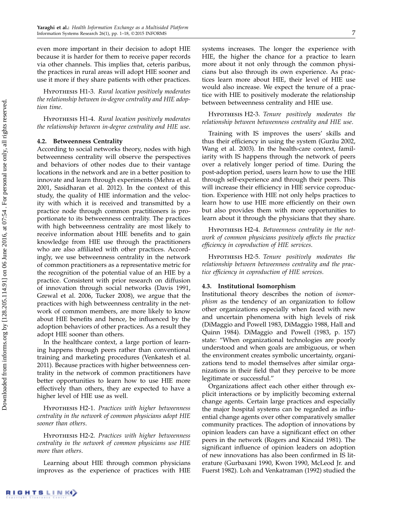even more important in their decision to adopt HIE because it is harder for them to receive paper records via other channels. This implies that, ceteris paribus, the practices in rural areas will adopt HIE sooner and use it more if they share patients with other practices.

HYPOTHESIS H1-3. Rural location positively moderates the relationship between in-degree centrality and HIE adoption time.

HYPOTHESIS H1-4. Rural location positively moderates the relationship between in-degree centrality and HIE use.

### 4.2. Betweenness Centrality

According to social networks theory, nodes with high betweenness centrality will observe the perspectives and behaviors of other nodes due to their vantage locations in the network and are in a better position to innovate and learn through experiments (Mehra et al. 2001, Sasidharan et al. 2012). In the context of this study, the quality of HIE information and the velocity with which it is received and transmitted by a practice node through common practitioners is proportionate to its betweenness centrality. The practices with high betweenness centrality are most likely to receive information about HIE benefits and to gain knowledge from HIE use through the practitioners who are also affiliated with other practices. Accordingly, we use betweenness centrality in the network of common practitioners as a representative metric for the recognition of the potential value of an HIE by a practice. Consistent with prior research on diffusion of innovation through social networks (Davis 1991, Grewal et al. 2006, Tucker 2008), we argue that the practices with high betweenness centrality in the network of common members, are more likely to know about HIE benefits and hence, be influenced by the adoption behaviors of other practices. As a result they adopt HIE sooner than others.

In the healthcare context, a large portion of learning happens through peers rather than conventional training and marketing procedures (Venkatesh et al. 2011). Because practices with higher betweenness centrality in the network of common practitioners have better opportunities to learn how to use HIE more effectively than others, they are expected to have a higher level of HIE use as well.

HYPOTHESIS H2-1. Practices with higher betweenness centrality in the network of common physicians adopt HIE sooner than others.

Hypothesis H2-2. Practices with higher betweenness centrality in the network of common physicians use HIE more than others.

Learning about HIE through common physicians improves as the experience of practices with HIE systems increases. The longer the experience with HIE, the higher the chance for a practice to learn more about it not only through the common physicians but also through its own experience. As practices learn more about HIE, their level of HIE use would also increase. We expect the tenure of a practice with HIE to positively moderate the relationship between betweenness centrality and HIE use.

Hypothesis H2-3. Tenure positively moderates the relationship between betweenness centrality and HIE use.

Training with IS improves the users' skills and thus their efficiency in using the system (Gurǎu 2002, Wang et al. 2003). In the health-care context, familiarity with IS happens through the network of peers over a relatively longer period of time. During the post-adoption period, users learn how to use the HIE through self-experience and through their peers. This will increase their efficiency in HIE service coproduction. Experience with HIE not only helps practices to learn how to use HIE more efficiently on their own but also provides them with more opportunities to learn about it through the physicians that they share.

HYPOTHESIS H2-4. Betweenness centrality in the network of common physicians positively affects the practice efficiency in coproduction of HIE services.

Hypothesis H2-5. Tenure positively moderates the relationship between betweenness centrality and the practice efficiency in coproduction of HIE services.

#### 4.3. Institutional Isomorphism

Institutional theory describes the notion of isomorphism as the tendency of an organization to follow other organizations especially when faced with new and uncertain phenomena with high levels of risk (DiMaggio and Powell 1983, DiMaggio 1988, Hall and Quinn 1984). DiMaggio and Powell (1983, p. 157) state: "When organizational technologies are poorly understood and when goals are ambiguous, or when the environment creates symbolic uncertainty, organizations tend to model themselves after similar organizations in their field that they perceive to be more legitimate or successful."

Organizations affect each other either through explicit interactions or by implicitly becoming external change agents. Certain large practices and especially the major hospital systems can be regarded as influential change agents over other comparatively smaller community practices. The adoption of innovations by opinion leaders can have a significant effect on other peers in the network (Rogers and Kincaid 1981). The significant influence of opinion leaders on adoption of new innovations has also been confirmed in IS literature (Gurbaxani 1990, Kwon 1990, McLeod Jr. and Fuerst 1982). Loh and Venkatraman (1992) studied the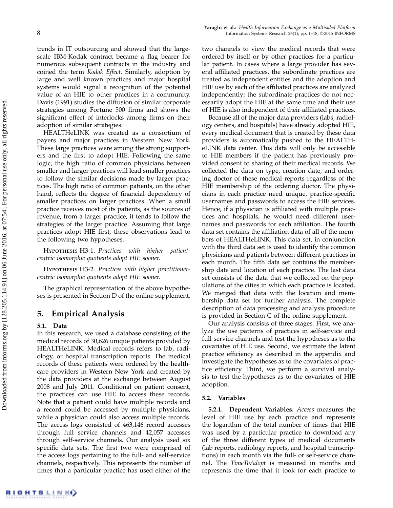trends in IT outsourcing and showed that the largescale IBM-Kodak contract became a flag bearer for numerous subsequent contracts in the industry and coined the term Kodak Effect. Similarly, adoption by large and well known practices and major hospital systems would signal a recognition of the potential value of an HIE to other practices in a community. Davis (1991) studies the diffusion of similar corporate strategies among Fortune 500 firms and shows the significant effect of interlocks among firms on their adoption of similar strategies.

HEALTHeLINK was created as a consortium of payers and major practices in Western New York. These large practices were among the strong supporters and the first to adopt HIE. Following the same logic, the high ratio of common physicians between smaller and larger practices will lead smaller practices to follow the similar decisions made by larger practices. The high ratio of common patients, on the other hand, reflects the degree of financial dependency of smaller practices on larger practices. When a small practice receives most of its patients, as the sources of revenue, from a larger practice, it tends to follow the strategies of the larger practice. Assuming that large practices adopt HIE first, these observations lead to the following two hypotheses.

HYPOTHESIS H3-1. Practices with higher patientcentric isomorphic quotients adopt HIE sooner.

HYPOTHESIS H3-2. Practices with higher practitionercentric isomorphic quotients adopt HIE sooner.

The graphical representation of the above hypotheses is presented in Section D of the online supplement.

## 5. Empirical Analysis

#### 5.1. Data

In this research, we used a database consisting of the medical records of 30,626 unique patients provided by HEALTHeLINK. Medical records refers to lab, radiology, or hospital transcription reports. The medical records of these patients were ordered by the healthcare providers in Western New York and created by the data providers at the exchange between August 2008 and July 2011. Conditional on patient consent, the practices can use HIE to access these records. Note that a patient could have multiple records and a record could be accessed by multiple physicians, while a physician could also access multiple records. The access logs consisted of 463,146 record accesses through full service channels and 42,057 accesses through self-service channels. Our analysis used six specific data sets. The first two were comprised of the access logs pertaining to the full- and self-service channels, respectively. This represents the number of times that a particular practice has used either of the two channels to view the medical records that were ordered by itself or by other practices for a particular patient. In cases where a large provider has several affiliated practices, the subordinate practices are treated as independent entities and the adoption and HIE use by each of the affiliated practices are analyzed independently; the subordinate practices do not necessarily adopt the HIE at the same time and their use of HIE is also independent of their affiliated practices.

Because all of the major data providers (labs, radiology centers, and hospitals) have already adopted HIE, every medical document that is created by these data providers is automatically pushed to the HEALTHeLINK data center. This data will only be accessible to HIE members if the patient has previously provided consent to sharing of their medical records. We collected the data on type, creation date, and ordering doctor of these medical reports regardless of the HIE membership of the ordering doctor. The physicians in each practice need unique, practice-specific usernames and passwords to access the HIE services. Hence, if a physician is affiliated with multiple practices and hospitals, he would need different usernames and passwords for each affiliation. The fourth data set contains the affiliation data of all of the members of HEALTHeLINK. This data set, in conjunction with the third data set is used to identify the common physicians and patients between different practices in each month. The fifth data set contains the membership date and location of each practice. The last data set consists of the data that we collected on the populations of the cities in which each practice is located. We merged that data with the location and membership data set for further analysis. The complete description of data processing and analysis procedure is provided in Section C of the online supplement.

Our analysis consists of three stages. First, we analyze the use patterns of practices in self-service and full-service channels and test the hypotheses as to the covariates of HIE use. Second, we estimate the latent practice efficiency as described in the appendix and investigate the hypotheses as to the covariates of practice efficiency. Third, we perform a survival analysis to test the hypotheses as to the covariates of HIE adoption.

#### 5.2. Variables

5.2.1. Dependent Variables. Access measures the level of HIE use by each practice and represents the logarithm of the total number of times that HIE was used by a particular practice to download any of the three different types of medical documents (lab reports, radiology reports, and hospital transcriptions) in each month via the full- or self-service channel. The TimeToAdopt is measured in months and represents the time that it took for each practice to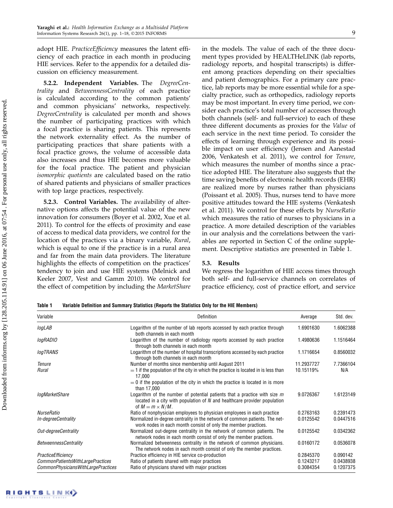adopt HIE. Practice Efficiency measures the latent efficiency of each practice in each month in producing HIE services. Refer to the appendix for a detailed discussion on efficiency measurement.

5.2.2. Independent Variables. The DegreeCentrality and BetweennessCentrality of each practice is calculated according to the common patients' and common physicians' networks, respectively. DegreeCentrality is calculated per month and shows the number of participating practices with which a focal practice is sharing patients. This represents the network externality effect. As the number of participating practices that share patients with a focal practice grows, the volume of accessible data also increases and thus HIE becomes more valuable for the focal practice. The patient and physician isomorphic quotients are calculated based on the ratio of shared patients and physicians of smaller practices with top large practices, respectively.

5.2.3. Control Variables. The availability of alternative options affects the potential value of the new innovation for consumers (Boyer et al. 2002, Xue et al. 2011). To control for the effects of proximity and ease of access to medical data providers, we control for the location of the practices via a binary variable, Rural, which is equal to one if the practice is in a rural area and far from the main data providers. The literature highlights the effects of competition on the practices' tendency to join and use HIE systems (Melnick and Keeler 2007, Vest and Gamm 2010). We control for the effect of competition by including the MarketShare in the models. The value of each of the three document types provided by HEALTHeLINK (lab reports, radiology reports, and hospital transcripts) is different among practices depending on their specialties and patient demographics. For a primary care practice, lab reports may be more essential while for a specialty practice, such as orthopedics, radiology reports may be most important. In every time period, we consider each practice's total number of accesses through both channels (self- and full-service) to each of these three different documents as proxies for the Value of each service in the next time period. To consider the effects of learning through experience and its possible impact on user efficiency (Jensen and Aanestad 2006, Venkatesh et al. 2011), we control for Tenure, which measures the number of months since a practice adopted HIE. The literature also suggests that the time saving benefits of electronic health records (EHR) are realized more by nurses rather than physicians (Poissant et al. 2005). Thus, nurses tend to have more positive attitudes toward the HIE systems (Venkatesh et al. 2011). We control for these effects by NurseRatio which measures the ratio of nurses to physicians in a practice. A more detailed description of the variables in our analysis and the correlations between the variables are reported in Section C of the online supplement. Descriptive statistics are presented in Table 1.

## 5.3. Results

We regress the logarithm of HIE access times through both self- and full-service channels on correlates of practice efficiency, cost of practice effort, and service

Table 1 Variable Definition and Summary Statistics (Reports the Statistics Only for the HIE Members)

| Variable                           | Definition                                                                                                                                                                            | Average    | Std. dev. |
|------------------------------------|---------------------------------------------------------------------------------------------------------------------------------------------------------------------------------------|------------|-----------|
| logLAB                             | Logarithm of the number of lab reports accessed by each practice through<br>both channels in each month                                                                               | 1.6901630  | 1.6062388 |
| logRADIO                           | Logarithm of the number of radiology reports accessed by each practice<br>through both channels in each month                                                                         | 1.4980636  | 1.1516464 |
| <b>logTRANS</b>                    | Logarithm of the number of hospital transcriptions accessed by each practice<br>through both channels in each month                                                                   | 1.1716654  | 0.8560032 |
| Tenure                             | Number of months since membership until August 2011                                                                                                                                   | 11.2937727 | 7.7366104 |
| Rural                              | $=$ 1 if the population of the city in which the practice is located in is less than<br>17,000                                                                                        | 10.15119%  | N/A       |
|                                    | $= 0$ if the population of the city in which the practice is located in is more<br>than 17,000                                                                                        |            |           |
| logMarketShare                     | Logarithm of the number of potential patients that a practice with size $m$<br>located in a city with population of $N$ and healthcare provider population<br>of $M = m \times N/M$ . | 9.0726367  | 1.6123149 |
| NurseRatio                         | Ratio of nonphysician employees to physician employees in each practice                                                                                                               | 0.2763163  | 0.2391473 |
| In-degreeCentrality                | Normalized in-degree centrality in the network of common patients. The net-<br>work nodes in each month consist of only the member practices.                                         | 0.0125542  | 0.0447516 |
| Out-degreeCentrality               | Normalized out-degree centrality in the network of common patients. The<br>network nodes in each month consist of only the member practices.                                          | 0.0125542  | 0.0342362 |
| <b>BetweennessCentrality</b>       | Normalized betweenness centrality in the network of common physicians.<br>The network nodes in each month consist of only the member practices.                                       | 0.0160172  | 0.0536078 |
| PracticeEfficiency                 | Practice efficiency in HIE service co-production                                                                                                                                      | 0.2845370  | 0.090142  |
| CommonPatientsWithLargePractices   | Ratio of patients shared with major practices                                                                                                                                         | 0.1243217  | 0.0438938 |
| CommonPhysiciansWithLargePractices | Ratio of physicians shared with major practices                                                                                                                                       | 0.3084354  | 0.1207375 |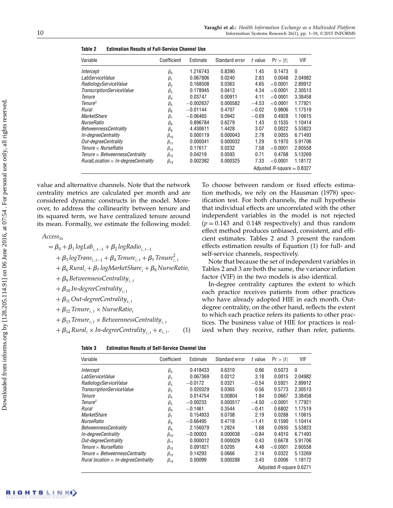| Variable                                    | Coefficient                  | Estimate    | Standard error | t value | Pr >  t     | VIF     |
|---------------------------------------------|------------------------------|-------------|----------------|---------|-------------|---------|
| Intercept                                   | $\beta_0$                    | 1.216743    | 0.8390         | 1.45    | 0.1473      | 0       |
| LabServiceValue                             | $\beta_1$                    | 0.067806    | 0.0240         | 2.83    | 0.0048      | 2.04982 |
| RadiologyServiceValue                       | $\beta_{2}$                  | 0.168508    | 0.0363         | 4.65    | ${<}0.0001$ | 2.89912 |
| TranscriptionServiceValue                   | $\beta_3$                    | 0.178945    | 0.0413         | 4.34    | ${<}0.0001$ | 2.30513 |
| Tenure                                      | $\beta_4$                    | 0.03747     | 0.00911        | 4.11    | ${<}0.0001$ | 3.38458 |
| Tenure <sup>2</sup>                         | $\beta_{5}$                  | $-0.002637$ | 0.000582       | $-4.53$ | ${<}0.0001$ | 1.77921 |
| Rural                                       | $\beta_{6}$                  | $-0.01144$  | 0.4707         | $-0.02$ | 0.9806      | 1.17519 |
| MarketShare                                 | $\beta_7$                    | $-0.06465$  | 0.0942         | $-0.69$ | 0.4928      | 1.10615 |
| NurseRatio                                  | $\beta_8$                    | 0.896784    | 0.6279         | 1.43    | 0.1535      | 1.10414 |
| <i>BetweennessCentrality</i>                | $\beta_{9}$                  | 4.430611    | 1.4428         | 3.07    | 0.0022      | 5.53823 |
| In-degreeCentrality                         | $\beta_{10}$                 | 0.000119    | 0.000043       | 2.78    | 0.0055      | 6.71493 |
| Out-deareeCentrality                        | $\beta_{11}$                 | 0.000041    | 0.000032       | 1.29    | 0.1970      | 5.91706 |
| Tenure $\times$ NurseRatio                  | $\beta_{12}$                 | 0.17617     | 0.0232         | 7.58    | ${<}0.0001$ | 2.60558 |
| Tenure $\times$ BetweennessCentrality       | $\beta_{13}$                 | 0.04219     | 0.0593         | 0.71    | 0.4768      | 5.13269 |
| $RuralLocation \times In-degree Centrality$ | $\beta_{14}$                 | 0.002382    | 0.000325       | 7.33    | ${<}0.0001$ | 1.18172 |
|                                             | Adjusted R-square $= 0.8327$ |             |                |         |             |         |

| Table 2<br><b>Estimation Results of Full-Service Channel Use</b> |
|------------------------------------------------------------------|
|------------------------------------------------------------------|

value and alternative channels. Note that the network centrality metrics are calculated per month and are considered dynamic constructs in the model. Moreover, to address the collinearity between tenure and its squared term, we have centralized tenure around its mean. Formally, we estimate the following model:

 $Access_{itc}$ 

$$
= \beta_0 + \beta_1 \log Lab_{i, t-1} + \beta_2 \log Radio_{i, t-1}
$$
  
+  $\beta_3 \log Trans_{i, t-1} + \beta_4$  Tenure<sub>i, t</sub> +  $\beta_5$  Tenure<sup>2</sup><sub>i, t</sub>  
+  $\beta_6$  Rural<sub>i</sub> +  $\beta_7$  logMarketShare<sub>i</sub> +  $\beta_8$  NurseRatio<sub>i</sub>  
+  $\beta_9$  BetweennessCentrality<sub>i, t</sub>  
+  $\beta_{10}$  In-degreeCentrality<sub>i, t</sub>  
+  $\beta_{11}$  Out-degreeCentrality<sub>i, t</sub>  
+  $\beta_{12}$  Tenure<sub>i, t</sub> × NurseRatio<sub>i</sub>

 $+ \beta_{13}$  Tenure<sub>i, t</sub>  $\times$  BetweennessCentrality<sub>i, t</sub>

 $+ \beta_{14}$  Rural<sub>i</sub> × In-degreeCentrality<sub>it</sub> +  $\varepsilon_{i,t}$ . (1)

To choose between random or fixed effects estimation methods, we rely on the Hausman (1978) specification test. For both channels, the null hypothesis that individual effects are uncorrelated with the other independent variables in the model is not rejected  $(p = 0.143$  and 0.148 respectively) and thus random effect method produces unbiased, consistent, and efficient estimates. Tables 2 and 3 present the random effects estimation results of Equation (1) for full- and self-service channels, respectively.

Note that because the set of independent variables in Tables 2 and 3 are both the same, the variance inflation factor (VIF) in the two models is also identical.

In-degree centrality captures the extent to which each practice receives patients from other practices who have already adopted HIE in each month. Outdegree centrality, on the other hand, reflects the extent to which each practice refers its patients to other practices. The business value of HIE for practices is realized when they receive, rather than refer, patients.

| Table 3 | <b>Estimation Results of Self-Service Channel Use</b> |  |
|---------|-------------------------------------------------------|--|
|         |                                                       |  |

| Variable                                     | Coefficient              | Estimate   | Standard error | t value | Pr >  t     | VIF     |
|----------------------------------------------|--------------------------|------------|----------------|---------|-------------|---------|
| Intercept                                    | $\beta_0$                | 0.418433   | 0.6310         | 0.66    | 0.5073      | 0       |
| LabServiceValue                              | $\beta_1$                | 0.067369   | 0.0212         | 3.18    | 0.0015      | 2.04982 |
| RadiologyServiceValue                        | $\beta_{2}$              | $-0.0172$  | 0.0321         | $-0.54$ | 0.5921      | 2.89912 |
| TranscriptionServiceValue                    | $\beta_3$                | 0.020329   | 0.0365         | 0.56    | 0.5773      | 2.30513 |
| Tenure                                       | $\beta_4$                | 0.014754   | 0.00804        | 1.84    | 0.0667      | 3.38458 |
| Tenure <sup>2</sup>                          | $\beta_{5}$              | $-0.00233$ | 0.000517       | $-4.50$ | ${<}0.0001$ | 1.77921 |
| Rural                                        | $\beta_6$                | $-0.1461$  | 0.3544         | $-0.41$ | 0.6802      | 1.17519 |
| <b>MarketShare</b>                           | $\beta_7$                | 0.154933   | 0.0708         | 2.19    | 0.0288      | 1.10615 |
| NurseRatio                                   | $\beta_8$                | $-0.66495$ | 0.4718         | $-1.41$ | 0.1590      | 1.10414 |
| <b>BetweennessCentrality</b>                 | $\beta_{9}$              | 2.156079   | 1.2824         | 1.68    | 0.0930      | 5.53823 |
| In-degreeCentrality                          | $\beta_{10}$             | $-0.00003$ | 0.000038       | $-0.84$ | 0.4010      | 6.71493 |
| Out-degreeCentrality                         | $\beta_{11}$             | 0.000012   | 0.000029       | 0.43    | 0.6678      | 5.91706 |
| Tenure $\times$ NurseRatio                   | $\beta_{12}$             | 0.091821   | 0.0205         | 4.48    | ${<}0.0001$ | 2.60558 |
| Tenure $\times$ BetweennessCentrality        | $\beta_{13}$             | 0.14293    | 0.0666         | 2.14    | 0.0322      | 5.13269 |
| Rural location $\times$ In-degree Centrality | $\beta_{14}$             | 0.00099    | 0.000288       | 3.43    | 0.0006      | 1.18172 |
|                                              | Adjusted R-square 0.6271 |            |                |         |             |         |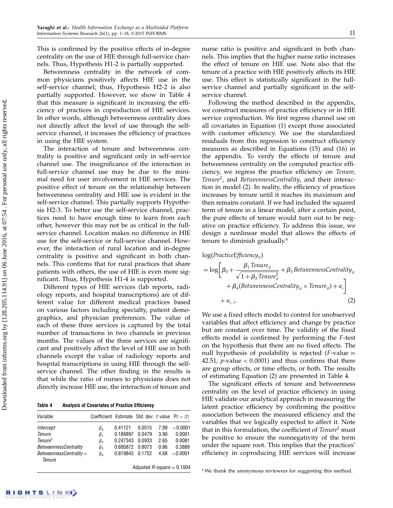This is confirmed by the positive effects of in-degree centrality on the use of HIE through full-service channels. Thus, Hypothesis H1-2 is partially supported.

Betweenness centrality in the network of common physicians positively affects HIE use in the self-service channel; thus, Hypothesis H2-2 is also partially supported. However, we show in Table 4 that this measure is significant in increasing the efficiency of practices in coproduction of HIE services. In other words, although betweenness centrality does not directly affect the level of use through the selfservice channel, it increases the efficiency of practices in using the HIE system.

The interaction of tenure and betweenness centrality is positive and significant only in self-service channel use. The insignificance of the interaction in full-service channel use may be due to the minimal need for user involvement in HIE services. The positive effect of tenure on the relationship between betweenness centrality and HIE use is evident in the self-service channel. This partially supports Hypothesis H2-3. To better use the self-service channel, practices need to have enough time to learn from each other, however this may not be as critical in the fullservice channel. Location makes no difference in HIE use for the self-service or full-service channel. However, the interaction of rural location and in-degree centrality is positive and significant in both channels. This confirms that for rural practices that share patients with others, the use of HIE is even more significant. Thus, Hypothesis H1-4 is supported.

Different types of HIE services (lab reports, radiology reports, and hospital transcriptions) are of different value for different medical practices based on various factors including specialty, patient demographics, and physician preferences. The value of each of these three services is captured by the total number of transactions in two channels in previous months. The values of the three services are significant and positively affect the level of HIE use in both channels except the value of radiology reports and hospital transcriptions in using HIE through the selfservice channel. The other finding in the results is that while the ratio of nurses to physicians does not directly increase HIE use, the interaction of tenure and

Table 4 Analysis of Covariates of Practice Efficiency

| Variable                                 | Coefficient Estimate Std. dev. t value $Pr >  t $ |          |        |      |             |
|------------------------------------------|---------------------------------------------------|----------|--------|------|-------------|
| Intercept                                | $\beta_0$                                         | 0.41121  | 0.0515 | 7.99 | ${<}0.0001$ |
| Tenure                                   | $\beta_1$                                         | 0.186897 | 0.0479 | 3.90 | 0.0001      |
| Tenure <sup>2</sup>                      | $\beta_{2}$                                       | 0.247343 | 0.0933 | 2.65 | 0.0081      |
| <b>BetweennessCentrality</b>             | $\beta_3$                                         | 0.695872 | 0.8073 | 0.86 | 0.3889      |
| BetweennessCentrality $\times$<br>Tenure | $\beta_4$                                         | 0.819843 | 0.1752 | 4.68 | ${<}0.0001$ |
| Adjusted R-square $= 0.1004$             |                                                   |          |        |      |             |

nurse ratio is positive and significant in both channels. This implies that the higher nurse ratio increases the effect of tenure on HIE use. Note also that the tenure of a practice with HIE positively affects its HIE use. This effect is statistically significant in the fullservice channel and partially significant in the selfservice channel.

Following the method described in the appendix, we construct measures of practice efficiency or in HIE service coproduction. We first regress channel use on all covariates in Equation (1) except those associated with customer efficiency. We use the standardized residuals from this regression to construct efficiency measures as described in Equations (15) and (16) in the appendix. To verify the effects of tenure and betweenness centrality on the computed practice efficiency, we regress the practice efficiency on Tenure, Tenure<sup>2</sup>, and BetweennessCentrality, and their interaction in model (2). In reality, the efficiency of practices increases by tenure until it reaches its maximum and then remains constant. If we had included the squared term of tenure in a linear model, after a certain point, the pure effects of tenure would turn out to be negative on practice efficiency. To address this issue, we design a nonlinear model that allows the effects of tenure to diminish gradually.<sup>6</sup>

$$
log(PractiveEfficiency_{it})
$$
\n
$$
= log \left[ \beta_0 + \frac{\beta_1 \text{Tenure}_{it}}{\sqrt{1 + \beta_2 \text{Tenure}_{it}^2}} + \beta_3 \text{BetweennessCentrality}_{it} + \beta_4 (\text{BetweennessCentrality}_{it} \times \text{Tenure}_{it}) + a_i \right]
$$
\n
$$
+ u_{i,t}. \tag{2}
$$

We use a fixed effects model to control for unobserved variables that affect efficiency and change by practice but are constant over time. The validity of the fixed effects model is confirmed by performing the F -test on the hypothesis that there are no fixed effects. The null hypothesis of poolability is rejected  $(F$ -value  $=$ 42.51, *p*-value  $< 0.0001$ ) and thus confirms that there are group effects, or time effects, or both. The results of estimating Equation (2) are presented in Table 4.

The significant effects of tenure and betweenness centrality on the level of practice efficiency in using HIE validate our analytical approach in measuring the latent practice efficiency by confirming the positive association between the measured efficiency and the variables that we logically expected to affect it. Note that in this formulation, the coefficient of Tenure<sup>2</sup> must be positive to ensure the nonnegativity of the term under the square root. This implies that the practices' efficiency in coproducing HIE services will increase

<sup>6</sup> We thank the anonymous reviewers for suggesting this method.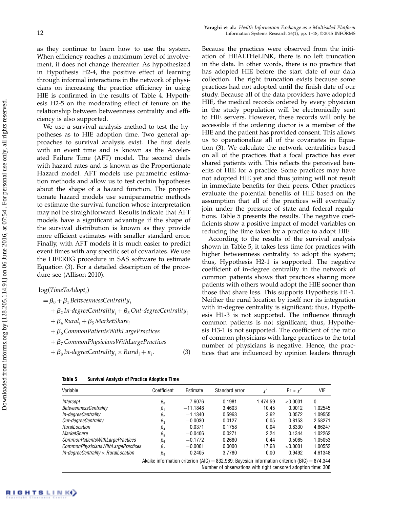as they continue to learn how to use the system. When efficiency reaches a maximum level of involvement, it does not change thereafter. As hypothesized in Hypothesis H2-4, the positive effect of learning through informal interactions in the network of physicians on increasing the practice efficiency in using HIE is confirmed in the results of Table 4. Hypothesis H2-5 on the moderating effect of tenure on the relationship between betweenness centrality and efficiency is also supported.

We use a survival analysis method to test the hypotheses as to HIE adoption time. Two general approaches to survival analysis exist. The first deals with an event time and is known as the Accelerated Failure Time (AFT) model. The second deals with hazard rates and is known as the Proportionate Hazard model. AFT models use parametric estimation methods and allow us to test certain hypotheses about the shape of a hazard function. The proportionate hazard models use semiparametric methods to estimate the survival function whose interpretation may not be straightforward. Results indicate that AFT models have a significant advantage if the shape of the survival distribution is known as they provide more efficient estimates with smaller standard error. Finally, with AFT models it is much easier to predict event times with any specific set of covariates. We use the LIFEREG procedure in SAS software to estimate Equation (3). For a detailed description of the procedure see (Allison 2010).

## $\log(TimeToAdopt_i)$

$$
=\beta_0 + \beta_1
$$
 BetweennessCentrality<sub>i</sub>

- $+$   $\beta_2$  In-degreeCentrality  $_i$   $+$   $\beta_3$  Out-degreeCentrality  $_i$
- $+ \beta_4$  Rural<sub>i</sub> +  $\beta_5$  Market Share<sub>i</sub>
- $+ \beta_6$  CommonPatientsWithLargePractices
- $+ \beta_7$  Common Physicians With Large Practices

 $+$   $\beta_8$  In-degreeCentrality<sub>i</sub>  $\times$  Rural<sub>i</sub> +  $\varepsilon_i$  $(3)$ 

## Because the practices were observed from the initiation of HEALTHeLINK, there is no left truncation in the data. In other words, there is no practice that has adopted HIE before the start date of our data collection. The right truncation exists because some practices had not adopted until the finish date of our study. Because all of the data providers have adopted HIE, the medical records ordered by every physician in the study population will be electronically sent to HIE servers. However, these records will only be accessible if the ordering doctor is a member of the HIE and the patient has provided consent. This allows us to operationalize all of the covariates in Equation (3). We calculate the network centralities based on all of the practices that a focal practice has ever shared patients with. This reflects the perceived benefits of HIE for a practice. Some practices may have not adopted HIE yet and thus joining will not result in immediate benefits for their peers. Other practices evaluate the potential benefits of HIE based on the assumption that all of the practices will eventually join under the pressure of state and federal regulations. Table 5 presents the results. The negative coefficients show a positive impact of model variables on reducing the time taken by a practice to adopt HIE.

According to the results of the survival analysis shown in Table 5, it takes less time for practices with higher betweenness centrality to adopt the system; thus, Hypothesis H2-1 is supported. The negative coefficient of in-degree centrality in the network of common patients shows that practices sharing more patients with others would adopt the HIE sooner than those that share less. This supports Hypothesis H1-1. Neither the rural location by itself nor its integration with in-degree centrality is significant; thus, Hypothesis H1-3 is not supported. The influence through common patients is not significant; thus, Hypothesis H3-1 is not supported. The coefficient of the ratio of common physicians with large practices to the total number of physicians is negative. Hence, the practices that are influenced by opinion leaders through

#### Table 5 Survival Analysis of Practice Adoption Time

| Variable                                   | Coefficient          | Estimate   | Standard error                                                                               | $x^2$    | $Pr < y^2$ | VIF     |
|--------------------------------------------|----------------------|------------|----------------------------------------------------------------------------------------------|----------|------------|---------|
| Intercept                                  | $\beta_0$            | 7.6076     | 0.1981                                                                                       | 1.474.59 | < 0.0001   | 0       |
| BetweennessCentrality                      | $\beta_1$            | $-11.1848$ | 3.4603                                                                                       | 10.45    | 0.0012     | 1.02545 |
| In-degreeCentrality                        | $\beta_{2}$          | $-1.1340$  | 0.5963                                                                                       | 3.62     | 0.0572     | 1.09555 |
| Out-degreeCentrality                       | $\beta_3$            | $-0.0030$  | 0.0127                                                                                       | 0.05     | 0.8153     | 2.58271 |
| <b>RuralLocation</b>                       | $\beta_4$            | 0.0371     | 0.1758                                                                                       | 0.04     | 0.8330     | 4.66247 |
| MarketShare                                | $\beta_{5}$          | $-0.0406$  | 0.0271                                                                                       | 2.24     | 0.1344     | 1.02262 |
| CommonPatientsWithLargePractices           | $\beta_{\mathsf{f}}$ | $-0.1772$  | 0.2680                                                                                       | 0.44     | 0.5085     | 1.05053 |
| CommonPhysiciansWithLargePractices         | $\beta_7$            | $-0.0001$  | 0.0000                                                                                       | 17.68    | < 0.0001   | 1.00552 |
| In-degreeCentrality $\times$ RuralLocation | $\beta_{8}$          | 0.2405     | 3.7780                                                                                       | 0.00     | 0.9492     | 4.61348 |
|                                            |                      |            | Akaike information criterion (AIC) = 832.989; Bayesian information criterion (BIC) = 874.344 |          |            |         |

Number of observations with right censored adoption time: 308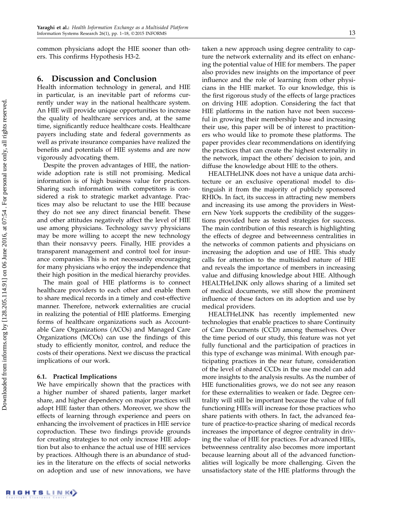common physicians adopt the HIE sooner than others. This confirms Hypothesis H3-2.

## 6. Discussion and Conclusion

Health information technology in general, and HIE in particular, is an inevitable part of reforms currently under way in the national healthcare system. An HIE will provide unique opportunities to increase the quality of healthcare services and, at the same time, significantly reduce healthcare costs. Healthcare payers including state and federal governments as well as private insurance companies have realized the benefits and potentials of HIE systems and are now vigorously advocating them.

Despite the proven advantages of HIE, the nationwide adoption rate is still not promising. Medical information is of high business value for practices. Sharing such information with competitors is considered a risk to strategic market advantage. Practices may also be reluctant to use the HIE because they do not see any direct financial benefit. These and other attitudes negatively affect the level of HIE use among physicians. Technology savvy physicians may be more willing to accept the new technology than their nonsavvy peers. Finally, HIE provides a transparent management and control tool for insurance companies. This is not necessarily encouraging for many physicians who enjoy the independence that their high position in the medical hierarchy provides.

The main goal of HIE platforms is to connect healthcare providers to each other and enable them to share medical records in a timely and cost-effective manner. Therefore, network externalities are crucial in realizing the potential of HIE platforms. Emerging forms of healthcare organizations such as Accountable Care Organizations (ACOs) and Managed Care Organizations (MCOs) can use the findings of this study to efficiently monitor, control, and reduce the costs of their operations. Next we discuss the practical implications of our work.

#### 6.1. Practical Implications

We have empirically shown that the practices with a higher number of shared patients, larger market share, and higher dependency on major practices will adopt HIE faster than others. Moreover, we show the effects of learning through experience and peers on enhancing the involvement of practices in HIE service coproduction. These two findings provide grounds for creating strategies to not only increase HIE adoption but also to enhance the actual use of HIE services by practices. Although there is an abundance of studies in the literature on the effects of social networks on adoption and use of new innovations, we have taken a new approach using degree centrality to capture the network externality and its effect on enhancing the potential value of HIE for members. The paper also provides new insights on the importance of peer influence and the role of learning from other physicians in the HIE market. To our knowledge, this is the first rigorous study of the effects of large practices on driving HIE adoption. Considering the fact that HIE platforms in the nation have not been successful in growing their membership base and increasing their use, this paper will be of interest to practitioners who would like to promote these platforms. The paper provides clear recommendations on identifying the practices that can create the highest externality in the network, impact the others' decision to join, and diffuse the knowledge about HIE to the others.

HEALTHeLINK does not have a unique data architecture or an exclusive operational model to distinguish it from the majority of publicly sponsored RHIOs. In fact, its success in attracting new members and increasing its use among the providers in Western New York supports the credibility of the suggestions provided here as tested strategies for success. The main contribution of this research is highlighting the effects of degree and betweenness centralities in the networks of common patients and physicians on increasing the adoption and use of HIE. This study calls for attention to the multisided nature of HIE and reveals the importance of members in increasing value and diffusing knowledge about HIE. Although HEALTHeLINK only allows sharing of a limited set of medical documents, we still show the prominent influence of these factors on its adoption and use by medical providers.

HEALTHeLINK has recently implemented new technologies that enable practices to share Continuity of Care Documents (CCD) among themselves. Over the time period of our study, this feature was not yet fully functional and the participation of practices in this type of exchange was minimal. With enough participating practices in the near future, consideration of the level of shared CCDs in the use model can add more insights to the analysis results. As the number of HIE functionalities grows, we do not see any reason for these externalities to weaken or fade. Degree centrality will still be important because the value of full functioning HIEs will increase for those practices who share patients with others. In fact, the advanced feature of practice-to-practice sharing of medical records increases the importance of degree centrality in driving the value of HIE for practices. For advanced HIEs, betweenness centrality also becomes more important because learning about all of the advanced functionalities will logically be more challenging. Given the unsatisfactory state of the HIE platforms through the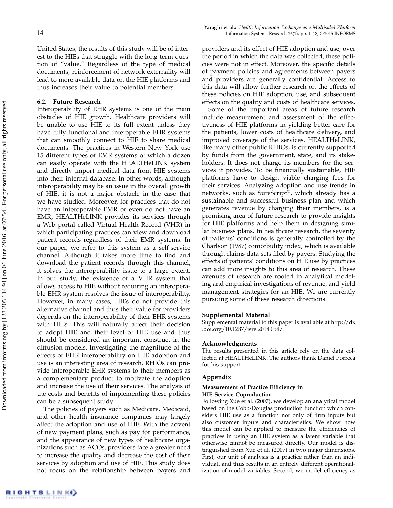United States, the results of this study will be of interest to the HIEs that struggle with the long-term question of "value." Regardless of the type of medical documents, reinforcement of network externality will lead to more available data on the HIE platforms and thus increases their value to potential members.

### 6.2. Future Research

Interoperability of EHR systems is one of the main obstacles of HIE growth. Healthcare providers will be unable to use HIE to its full extent unless they have fully functional and interoperable EHR systems that can smoothly connect to HIE to share medical documents. The practices in Western New York use 15 different types of EMR systems of which a dozen can easily operate with the HEALTHeLINK system and directly import medical data from HIE systems into their internal database. In other words, although interoperability may be an issue in the overall growth of HIE, it is not a major obstacle in the case that we have studied. Moreover, for practices that do not have an interoperable EMR or even do not have an EMR, HEALTHeLINK provides its services through a Web portal called Virtual Health Record (VHR) in which participating practices can view and download patient records regardless of their EMR systems. In our paper, we refer to this system as a self-service channel. Although it takes more time to find and download the patient records through this channel, it solves the interoperability issue to a large extent. In our study, the existence of a VHR system that allows access to HIE without requiring an interoperable EHR system resolves the issue of interoperability. However, in many cases, HIEs do not provide this alternative channel and thus their value for providers depends on the interoperability of their EHR systems with HIEs. This will naturally affect their decision to adopt HIE and their level of HIE use and thus should be considered an important construct in the diffusion models. Investigating the magnitude of the effects of EHR interoperability on HIE adoption and use is an interesting area of research. RHIOs can provide interoperable EHR systems to their members as a complementary product to motivate the adoption and increase the use of their services. The analysis of the costs and benefits of implementing these policies can be a subsequent study.

The policies of payers such as Medicare, Medicaid, and other health insurance companies may largely affect the adoption and use of HIE. With the advent of new payment plans, such as pay for performance, and the appearance of new types of healthcare organizations such as ACOs, providers face a greater need to increase the quality and decrease the cost of their services by adoption and use of HIE. This study does not focus on the relationship between payers and providers and its effect of HIE adoption and use; over the period in which the data was collected, these policies were not in effect. Moreover, the specific details of payment policies and agreements between payers and providers are generally confidential. Access to this data will allow further research on the effects of these policies on HIE adoption, use, and subsequent effects on the quality and costs of healthcare services.

Some of the important areas of future research include measurement and assessment of the effectiveness of HIE platforms in yielding better care for the patients, lower costs of healthcare delivery, and improved coverage of the services. HEALTHeLINK, like many other public RHIOs, is currently supported by funds from the government, state, and its stakeholders. It does not charge its members for the services it provides. To be financially sustainable, HIE platforms have to design viable charging fees for their services. Analyzing adoption and use trends in networks, such as SureScript®, which already has a sustainable and successful business plan and which generates revenue by charging their members, is a promising area of future research to provide insights for HIE platforms and help them in designing similar business plans. In healthcare research, the severity of patients' conditions is generally controlled by the Charlson (1987) comorbidity index, which is available through claims data sets filed by payers. Studying the effects of patients' conditions on HIE use by practices can add more insights to this area of research. These avenues of research are rooted in analytical modeling and empirical investigations of revenue, and yield management strategies for an HIE. We are currently pursuing some of these research directions.

#### Supplemental Material

Supplemental material to this paper is available at http://dx .doi.org/10.1287/isre.2014.0547.

#### Acknowledgments

The results presented in this article rely on the data collected at HEALTHeLINK. The authors thank Daniel Porreca for his support.

#### Appendix

#### Measurement of Practice Efficiency in HIE Service Coproduction

Following Xue et al. (2007), we develop an analytical model based on the Cobb-Douglas production function which considers HIE use as a function not only of firm inputs but also customer inputs and characteristics. We show how this model can be applied to measure the efficiencies of practices in using an HIE system as a latent variable that otherwise cannot be measured directly. Our model is distinguished from Xue et al. (2007) in two major dimensions. First, our unit of analysis is a practice rather than an individual, and thus results in an entirely different operationalization of model variables. Second, we model efficiency as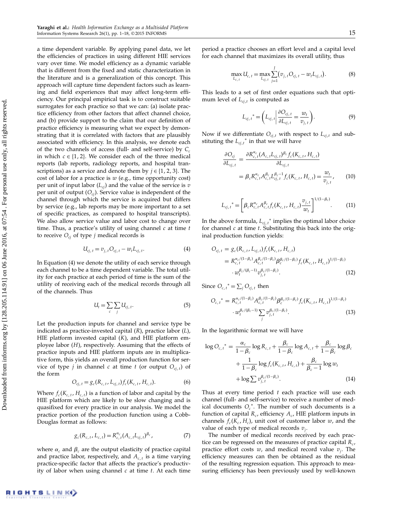a time dependent variable. By applying panel data, we let the efficiencies of practices in using different HIE services vary over time. We model efficiency as a dynamic variable that is different from the fixed and static characterization in the literature and is a generalization of this concept. This approach will capture time dependent factors such as learning and field experiences that may affect long-term efficiency. Our principal empirical task is to construct suitable surrogates for each practice so that we can: (a) isolate practice efficiency from other factors that affect channel choice, and (b) provide support to the claim that our definition of practice efficiency is measuring what we expect by demonstrating that it is correlated with factors that are plausibly associated with efficiency. In this analysis, we denote each of the two channels of access (full- and self-service) by  $C_c$ in which  $c \in \{1, 2\}$ . We consider each of the three medical reports (lab reports, radiology reports, and hospital transcriptions) as a service and denote them by  $j \in \{1, 2, 3\}$ . The cost of labor for a practice is  $w$  (e.g., time opportunity cost) per unit of input labor  $(L_{ci})$  and the value of the service is  $v$ per unit of output  $(O_{ci})$ . Service value is independent of the channel through which the service is acquired but differs by service (e.g., lab reports may be more important to a set of specific practices, as compared to hospital transcripts). We also allow service value and labor cost to change over time. Thus, a practice's utility of using channel  $c$  at time  $t$ to receive  $O_{cj}$  of type *j* medical records is

$$
U_{cj, t} = v_{j, t} O_{cj, t} - w_t L_{cj, t}.
$$
 (4)

In Equation (4) we denote the utility of each service through each channel to be a time dependent variable. The total utility for each practice at each period of time is the sum of the utility of receiving each of the medical records through all of the channels. Thus

$$
U_t = \sum_c \sum_j U_{cj, t}.
$$
 (5)

Let the production inputs for channel and service type be indicated as practice-invested capital  $(R)$ , practice labor  $(L)$ , HIE platform invested capital  $(K)$ , and HIE platform employee labor (H), respectively. Assuming that the effects of practice inputs and HIE platform inputs are in multiplicative form, this yields an overall production function for service of type *j* in channel *c* at time *t* (or output  $O_{c_j,t}$ ) of the form

$$
O_{cj, t} = g_c(R_{c, t}, L_{cj, t}) f_c(K_{c, t}, H_{c, t}).
$$
\n(6)

Where  $f_c(K_{c,t}, H_{c,t})$  is a function of labor and capital by the HIE platform which are likely to be slow changing and is quasifixed for every practice in our analysis. We model the practice portion of the production function using a Cobb-Douglas format as follows:

$$
g_c(R_{c,t}, L_{c,t}) = R_{c,t}^{\alpha_c}(A_{c,t}L_{cj,t})^{\beta_c},
$$
\n(7)

where  $\alpha_c$  and  $\beta_c$  are the output elasticity of practice capital and practice labor, respectively, and  $A_{c,t}$  is a time varying practice-specific factor that affects the practice's productivity of labor when using channel  $c$  at time  $t$ . At each time period a practice chooses an effort level and a capital level for each channel that maximizes its overall utility, thus

$$
\max_{L_{c,t}} U_{c,t} = \max_{L_{cj,t}} \sum_{j=1}^{J} (v_{j,t} O_{cj,t} - w_t L_{cj,t}).
$$
\n(8)

This leads to a set of first order equations such that optimum level of  $L_{cj,t}$  is computed as

$$
L_{cj, t}^* = \left( L_{cj, t} \left| \frac{\partial O_{cj, t}}{\partial L_{cj, t}} \right| = \frac{w_t}{v_{j, t}} \right). \tag{9}
$$

Now if we differentiate  $O_{ci,t}$  with respect to  $L_{ci,t}$  and substituting the  $L_{cj,t}$ <sup>\*</sup> in that we will have

$$
\frac{\partial O_{cj}}{\partial L_{cj,t}} = \frac{\partial R_{c,t}^{\alpha_c}(A_{c,t}L_{cj,t})^{\beta_c} f_c(K_{c,t}, H_{c,t})}{\partial L_{cj,t}} \n= \beta_c R_{c,t}^{\alpha_c} A_{c,t}^{\beta_c} L_{cj,t}^{\beta_c-1} f_c(K_{c,t}, H_{c,t}) = \frac{w_t}{v_{j,t}},
$$
\n(10)

$$
L_{cj, t}^* = \left[ \beta_c R_{c, t}^{\alpha_c} A_{c, t}^{\beta_c} f_c(K_{c, t}, H_{c, t}) \frac{v_{j, t}}{w_t} \right]^{1/(1-\beta_c)}.
$$
 (11)

In the above formula,  $L_{cj, t}^*$  implies the optimal labor choice for channel  $c$  at time  $t$ . Substituting this back into the original production function yields:

$$
O_{cj, t} = g_c(R_{c, t}, L_{cj, t}) f_c(K_{c, t}, H_{c, t})
$$
  
=  $R_{c, t}^{\alpha_c/(1-\beta_c)} A_{c, t}^{\beta_c/(1-\beta_c)} \beta_c^{\beta_c/(1-\beta_c)} f_c(K_{c, t}, H_{c, t})^{1/(1-\beta_c)}$   

$$
\cdot w_t^{\beta_c/(\beta_c-1)} v_{j, t}^{\beta_c/(1-\beta_c)}.
$$
 (12)

Since  $O_{c,t}^* = \sum_j O_{cj,t}$  then

$$
O_{c,t}^* = R_{c,t}^{\alpha_c/(1-\beta_c)} A_{c,t}^{\beta_c/(1-\beta_c)} \beta_c^{\beta_c/(1-\beta_c)} f_c(K_{c,t}, H_{c,t})^{1/(1-\beta_c)}
$$

$$
\cdot w_t^{\beta_c/(\beta_c-1)} \sum_j v_{j,t}^{\beta_c/(1-\beta_c)}.
$$
(13)

In the logarithmic format we will have

$$
\log O_{c,t}^* = \frac{\alpha_c}{1 - \beta_c} \log R_{c,t} + \frac{\beta_c}{1 - \beta_c} \log A_{c,t} + \frac{\beta_c}{1 - \beta_c} \log \beta_c
$$
  
+ 
$$
\frac{1}{1 - \beta_c} \log f_c(K_{c,t}, H_{c,t}) + \frac{\beta_c}{\beta_c - 1} \log w_t
$$
  
+ 
$$
\log \sum v_{j,t}^{\beta_c/(1 - \beta_c)}.
$$
 (14)

Thus at every time period  $t$  each practice will use each channel (full- and self-service) to receive a number of medical documents  $O_c^*$ . The number of such documents is a function of capital  $R_c$ , efficiency  $A_c$ , HIE platform inputs in channels  $f_c(K_c,H_c)$ , unit cost of customer labor w, and the value of each type of medical records  $v_j$ .

The number of medical records received by each practice can be regressed on the measures of practice capital  $R_c$ , practice effort costs  $w$ , and medical record value  $v_j$ . The efficiency measures can then be obtained as the residual of the resulting regression equation. This approach to measuring efficiency has been previously used by well-known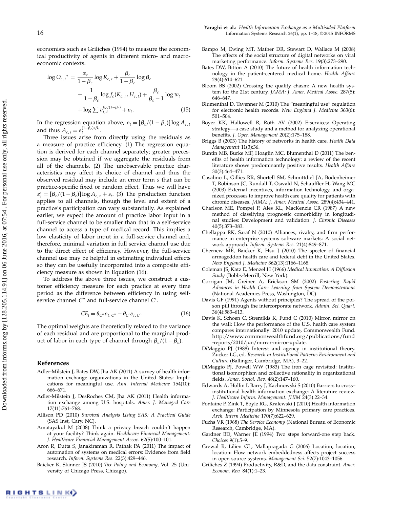economists such as Griliches (1994) to measure the economical productivity of agents in different micro- and macroeconomic contexts.

$$
\log O_{c,t}^* = \frac{\alpha_c}{1 - \beta_c} \log R_{c,t} + \frac{\beta_c}{1 - \beta_c} \log \beta_c
$$
  
+ 
$$
\frac{1}{1 - \beta_c} \log f_c(K_{c,t}, H_{c,t}) + \frac{\beta_c}{\beta_c - 1} \log w_t
$$
  
+ 
$$
\log \sum v_{j,t}^{\beta_c/(1 - \beta_c)} + \varepsilon_t.
$$
 (15)

In the regression equation above,  $\varepsilon_t = [\beta_c/(1 - \beta_c)] \log A_{c, t}$ and thus  $A_{c,t} = \varepsilon_t^{(1-\beta_c)/\beta_c}$ .

Three issues arise from directly using the residuals as a measure of practice efficiency. (1) The regression equation is derived for each channel separately; greater precession may be obtained if we aggregate the residuals from all of the channels. (2) The unobservable practice characteristics may affect its choice of channel and thus the observed residual may include an error term s that can be practice-specific fixed or random effect. Thus we will have  $\varepsilon'_{t} = [\beta_c/(1-\beta_c)] \log A_{c,t} + s_t$ . (3) The production function applies to all channels, though the level and extent of a practice's participation can vary substantially. As explained earlier, we expect the amount of practice labor input in a full-service channel to be smaller than that in a self-service channel to access a type of medical record. This implies a low elasticity of labor input in a full-service channel and, therefore, minimal variation in full service channel use due to the direct effect of efficiency. However, the full-service channel use may be helpful in estimating individual effects so they can be usefully incorporated into a composite efficiency measure as shown in Equation (16).

To address the above three issues, we construct a customer efficiency measure for each practice at every time period as the difference between efficiency in using selfservice channel C" and full-service channel C'.

$$
CE_t = \theta_{C''} \varepsilon_{t,C''} - \theta_{C'} \varepsilon_{t,C'}.
$$
 (16)

The optimal weights are theoretically related to the variance of each residual and are proportional to the marginal product of labor in each type of channel through  $\beta_c/(1 - \beta_c)$ .

#### References

- Adler-Milstein J, Bates DW, Jha AK (2011) A survey of health information exchange organizations in the United States: Implications for meaningful use. Ann. Internal Medicine 154(10): 666–671.
- Adler-Milstein J, DesRoches CM, Jha AK (2011) Health information exchange among U.S. hospitals. Amer. J. Managed Care 17(11):761–768.
- Allison PD (2010) Survival Analysis Using SAS: A Practical Guide (SAS Inst, Cary, NC).
- Amatayakul M (2008) Think a privacy breach couldn't happen at your facility? Think again. Healthcare Financial Management: J. Healthcare Financial Management Assoc. 62(5):100–101.
- Aron R, Dutta S, Janakiraman R, Pathak PA (2011) The impact of automation of systems on medical errors: Evidence from field research. Inform. Systems Res. 22(3):429–446.
- Baicker K, Skinner JS (2010) Tax Policy and Economy, Vol. 25 (University of Chicago Press, Chicago).
- Bampo M, Ewing MT, Mather DR, Stewart D, Wallace M (2008) The effects of the social structure of digital networks on viral marketing performance. Inform. Systems Res. 19(3):273–290.
- Bates DW, Bitton A (2010) The future of health information technology in the patient-centered medical home. Health Affairs 29(4):614–621.
- Bloom BS (2002) Crossing the quality chasm: A new health system for the 21st century. JAMA: J. Amer. Medical Assoc. 287(5): 646–647.
- Blumenthal D, Tavenner M (2010) The "meaningful use" regulation for electronic health records. New England J. Medicine 363(6): 501–504.
- Boyer KK, Hallowell R, Roth AV (2002) E-services: Operating strategy—a case study and a method for analyzing operational benefits. J. Oper. Management 20(2):175–188.
- Briggs B (2003) The history of networks in health care. Health Data Management 11(3):36.
- Buntin MB, Burke MF, Hoaglin MC, Blumenthal D (2011) The benefits of health information technology: a review of the recent literature shows predominantly positive results. Health Affairs 30(3):464–471.
- Casalino L, Gillies RR, Shortell SM, Schmittdiel JA, Bodenheimer T, Robinson JC, Rundall T, Oswald N, Schauffler H, Wang MC (2003) External incentives, information technology, and organized processes to improve health care quality for patients with chronic diseases. JAMA: J. Amer. Medical Assoc. 289(4):434–441.
- Charlson ME, Pompei P, Ales KL, MacKenzie CR (1987) A new method of classifying prognostic comorbidity in longitudinal studies: Development and validation. J. Chronic Diseases 40(5):373–383.
- Chellappa RK, Saraf N (2010) Alliances, rivalry, and firm performance in enterprise systems software markets: A social network approach. Inform. Systems Res. 21(4):849–871.
- Chernew ME, Baicker K, Hsu J (2010) The specter of financial armageddon health care and federal debt in the United States. New England J. Medicine 362(13):1166–1168.
- Coleman JS, Katz E, Menzel H (1966) Medical Innovation: A Diffusion Study (Bobbs-Merrill, New York).
- Corrigan JM, Greiner A, Erickson SM (2002) Fostering Rapid Advances in Health Care: Learning from System Demonstrations (National Academies Press, Washington, DC).
- Davis GF (1991) Agents without principles? The spread of the poison pill through the intercorporate network. Admin. Sci. Quart. 36(4):583–613.
- Davis K, Schoen C, Stremikis K, Fund C (2010) Mirror, mirror on the wall: How the performance of the U.S. health care system compares internationally: 2010 update, Commonwealth Fund. http://www.commonwealthfund.org/publications/fund -reports/2010/jun/mirror-mirror-update.
- DiMaggio PJ (1988) Interest and agency in institutional theory. Zucker LG, ed. Research in Institutional Patterns Environment and Culture (Ballinger, Cambridge, MA), 3–22.
- DiMaggio PJ, Powell WW (1983) The iron cage revisited: Institutional isomorphism and collective rationality in organizational fields. Amer. Sociol. Rev. 48(2):147–160.
- Edwards A, Hollin I, Barry J, Kachnowski S (2010) Barriers to cross– institutional health information exchange: A literature review. J. Healthcare Inform. Management: JHIM 24(3):22–34.
- Fontaine P, Zink T, Boyle RG, Kralewski J (2010) Health information exchange: Participation by Minnesota primary care practices. Arch. Intern Medicine 170(7):622–629.
- Fuchs VR (1968) The Service Economy (National Bureau of Economic Research, Cambridge, MA).
- Gardner BD, Warner JE (1994) Two steps forward-one step back. Choices 9(1):5–9.
- Grewal R, Lilien GL, Mallapragada G (2006) Location, location, location: How network embeddedness affects project success in open source systems. Management Sci. 52(7):1043–1056.
- Griliches Z (1994) Productivity, R&D, and the data constraint. Amer. Econom. Rev. 84(1):1–23.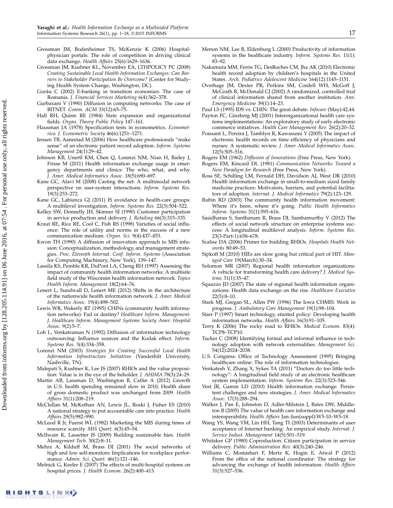- Grossman JM, Bodenheimer TS, McKenzie K (2006) Hospitalphysician portals: The role of competition in driving clinical data exchange. Health Affairs 25(6):1629–1636.
- Grossman JM, Kushner KL, November EA, LTHPOLICY PC (2008) Creating Sustainable Local Health Information Exchanges: Can Barriers to Stakeholder Participation Be Overcome? (Center for Studying Health System Change, Washington, DC).
- Gurǎu C (2002) E-banking in transition economies: The case of Romania. J. Financial Services Marketing 6(4):362–378.
- Gurbaxani V (1990) Diffusion in computing networks: The case of BITNET. Comm. ACM 33(12):65–75.
- Hall RH, Quinn RE (1984) State expansion and organizational fields. Organ. Theory Public Policy 147–161.
- Hausman JA (1978) Specification tests in econometrics. Econometrica: J. Econometric Society 46(6):1251–1271.
- Jensen TB, Aanestad M (2006) How healthcare professionals "make sense" of an electronic patient record adoption. Inform. Systems Management 24(1):29–42.
- Johnson KB, Unertl KM, Chen Q, Lorenzi NM, Nian H, Bailey J, Frisse M (2011) Health information exchange usage in emergency departments and clinics: The who, what, and why. J. Amer. Medical Informatics Assoc. 18(5):690–697.
- Kane GC, Alavi M (2008) Casting the net: A multimodal network perspective on user-system interactions. Inform. Systems Res. 19(3):253–272.
- Kane GC, Labianca GJ (2011) IS avoidance in health-care groups: A multilevel investigation. Inform. Systems Res. 22(3):504–522.
- Kelley SW, Donnelly JH, Skinner SJ (1990) Customer participation in service production and delivery. J. Retailing 66(3):315–335.
- Kraut RE, Rice RE, Cool C, Fish RS (1998) Varieties of social influence: The role of utility and norms in the success of a new communication medium. Organ. Sci. 9(4):437–453.
- Kwon TH (1990) A diffusion of innovation approach to MIS infusion: Conceptualization, methodology, and management strategies. Proc. Eleventh Internat. Conf. Inform. Systems (Association for Computing Machinery, New York), 139–147.
- Lassila KS, Pemble KR, DuPont LA, Cheng RH (1997) Assessing the impact of community health information networks: A multisite field study of the Wisconsin health information network. Topics Health Inform. Management 18(2):64–76.
- Lenert L, Sundwall D, Lenert ME (2012) Shifts in the architecture of the nationwide health information network. J. Amer. Medical Informatics Assoc. 19(4):498–502.
- Lewis WR, Wakerly RT (1995) CHINs (community health information networks): Fad or destiny? Healthcare Inform. Management: J. Healthcare Inform. Management Systems Society Amer. Hospital Assoc. 9(2):5–7.
- Loh L, Venkatraman N (1992) Diffusion of information technology outsourcing: Influence sources and the Kodak effect. Inform. Systems Res. 3(4):334–358.
- Lorenzi NM (2003) Strategies for Creating Successful Local Health Information Infrastructure Initiatives (Vanderbilt University, Nashville, TN).
- Malepati S, Kushner K, Lee JS (2007) RHIOs and the value proposition: Value is in the eye of the beholder. J. AHIMA 78(3):24–29.
- Martin AB, Lassman D, Washington B, Catlin A (2012) Growth in U.S. health spending remained slow in 2010; Health share of gross domestic product was unchanged from 2009. Health Affairs 31(1):208–219.
- McClellan M, McKethan AN, Lewis JL, Roski J, Fisher ES (2010) A national strategy to put accountable care into practice. Health Affairs 29(5):982–990.
- McLeod R Jr, Fuerst WL (1982) Marketing the MIS during times of resource scarcity. MIS Quart. 6(3):45–54.
- Mcllwain K, Lassetter JS (2009) Building sustainable hies. Health Management Tech. 30(2):8–11.
- Mehra A, Kilduff M, Brass DJ (2001) The social networks of high and low self-monitors: Implications for workplace performance. Admin. Sci. Quart. 46(1):121–146.
- Melnick G, Keeler E (2007) The effects of multi-hospital systems on hospital prices. J. Health Econom. 26(2):400–413.
- Menon NM, Lee B, Eldenburg L (2000) Productivity of information systems in the healthcare industry. Inform. Systems Res. 11(1): 83–92.
- Nakamura MM, Ferris TG, DesRoches CM, Jha AK (2010) Electronic health record adoption by children's hospitals in the United States. Arch. Pediatrics Adolescent Medicine 164(12):1145–1151.
- Overhage JM, Dexter PR, Perkins SM, Cordell WH, McGoff J, McGrath R, McDonald CJ (2002) A randomized, controlled trial of clinical information shared from another institution. Ann. Emergency Medicine 39(1):14–23.
- Paul LS (1995) IDS vs. CHIN: The great debate. Infocare (May):42,44.
- Payton FC, Ginzberg MJ (2001) Interorganizational health care systems implementations: An exploratory study of early electronic commerce initiatives. Health Care Management Rev. 26(2):20–32.
- Poissant L, Pereira J, Tamblyn R, Kawasumi Y (2005) The impact of electronic health records on time efficiency of physicians and nurses: A systematic review. J. Amer. Medical Informatics Assoc. 12(5):505–516.
- Rogers EM (1962) Diffusion of Innovations (Free Press, New York).
- Rogers EM, Kincaid DL (1981) Communication Networks: Toward a New Paradigm for Research (Free Press, New York).
- Ross SE, Schilling LM, Fernald DH, Davidson AJ, West DR (2010) Health information exchange in small-to-medium sized family medicine practices: Motivators, barriers, and potential facilitators of adoption. Internat. J. Medical Informatics 79(2):123–129.
- Rubin RD (2003) The community health information movement: Where it's been, where it's going. Public Health Informatics Inform. Systems 31(1):595–616.
- Sasidharan S, Santhanam R, Brass DJ, Sambamurthy V (2012) The effects of social network structure on enterprise systems success: A longitudinal multilevel analysis. Inform. Systems Res. 23(3-Part-1):658–678.
- Scalise DA (2006) Primer for building RHIOs. Hospitals Health Networks 80:49–53.
- Sipkoff M (2010) HIEs are slow going but critical part of HIT. Managed Care 19(March):30–34.
- Solomon MR (2007) Regional health information organizations: A vehicle for transforming health care delivery? J. Medical Systems 31(1):35–47.
- Squazzo JD (2007) The state of regional health information organizations: Health data exchange on the rise. Healthcare Executive 22(5):8–10.
- Stark MJ, Gregan SL, Allen PW (1996) The Iowa CHMIS: Work in progress. J. Ambulatory Care Management 19(1):98–104.
- Starr P (1997) Smart technology, stunted policy: Developing health information networks. Health Affairs 16(3):91–105.
- Terry K (2006) The rocky road to RHIOs. Medical Econom. 83(4): TCP8–TCP10.
- Tucker C (2008) Identifying formal and informal influence in technology adoption with network externalities. Management Sci. 54(12):2024–2038.
- U.S. Congress: Office of Technology Assessment (1995) Bringing healthcare online: The role of information technologies.
- Venkatesh V, Zhang X, Sykes TA (2011) "Doctors do too little technology": A longitudinal field study of an electronic healthcare system implementation. Inform. Systems Res. 22(3):523–546.
- Vest JR, Gamm LD (2010) Health information exchange: Persistent challenges and new strategies. J. Amer. Medical Informatics Assoc. 17(3):288–294.
- Walker J, Pan E, Johnston D, Adler-Milstein J, Bates DW, Middleton B (2005) The value of health care information exchange and interoperability. Health Affairs Jan–Jun(suppl):W5-10–W5-18.
- Wang YS, Wang YM, Lin HH, Tang TI (2003) Determinants of user acceptance of Internet banking: An empirical study. Internat. J. Service Indust. Management 14(5):501–519.
- Whitaker GP (1980) Coproduction: Citizen participation in service delivery. Public Administration Rev. 40(3):240–246.
- Williams C, Mostashari F, Mertz K, Hogin E, Atwal P (2012) From the office of the national coordinator: The strategy for advancing the exchange of health information. Health Affairs 31(3):527–536.